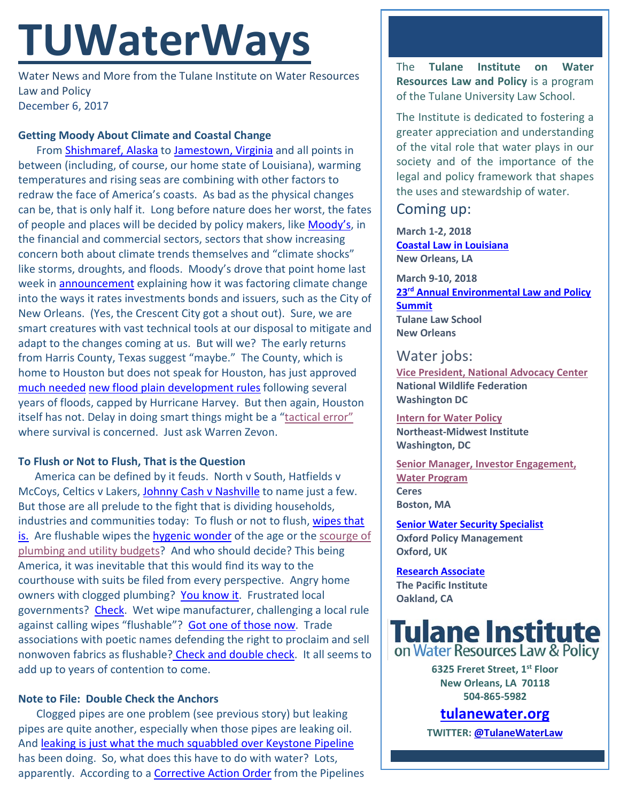# **TUWaterWays**

Water News and More from the Tulane Institute on Water Resources Law and Policy December 6, 2017

#### **Getting Moody About Climate and Coastal Change**

From [Shishmaref, Alaska](https://www.scientificamerican.com/article/alaskas-coast-is-vanishing-1-storm-at-a-time/) to [Jamestown, Virginia](https://www.washingtonpost.com/national/health-science/rising-seas-may-eventually-submerge-some-important-us-historical-landmarks/2017/12/01/c7535e6a-d5e4-11e7-95bf-df7c19270879_story.html?utm_term=.3a4abdf353ec&wpisrc=nl_rainbow&wpmm=1) and all points in between (including, of course, our home state of Louisiana), warming temperatures and rising seas are combining with other factors to redraw the face of America's coasts. As bad as the physical changes can be, that is only half it. Long before nature does her worst, the fates of people and places will be decided by policy makers, like [Moody's,](https://www.moodys.com/) in the financial and commercial sectors, sectors that show increasing concern both about climate trends themselves and "climate shocks" like storms, droughts, and floods. Moody's drove that point home last week in **announcement** explaining how it was factoring climate change into the ways it rates investments bonds and issuers, such as the City of New Orleans. (Yes, the Crescent City got a shout out). Sure, we are smart creatures with vast technical tools at our disposal to mitigate and adapt to the changes coming at us. But will we? The early returns from Harris County, Texas suggest "maybe." The County, which is home to Houston but does not speak for Houston, has just approved [much needed](https://www.nytimes.com/2017/12/02/us/houston-flood-zone-hurricane-harvey.html?_r=0) [new flood plain development rules](http://abc13.com/harris-county-new-building-regulations-post-harvey-/2743685/) following several years of floods, capped by Hurricane Harvey. But then again, Houston itself has not. Delay in doing smart things might be a ["tactical error"](https://www.youtube.com/watch?v=z7Mirkd3CT4) where survival is concerned. Just ask Warren Zevon.

### **To Flush or Not to Flush, That is the Question**

America can be defined by it feuds. North v South, Hatfields v McCoys, Celtics v Lakers, [Johnny Cash v Nashville](http://www.savingcountrymusic.com/wp-content/uploads/2013/07/johnny-cash-middle-finger-billboard.jpg) to name just a few. But those are all prelude to the fight that is dividing households, industries and communities today: To flush or not to flush[, wipes that](https://www.npr.org/2017/11/30/567572996/wet-wipes-to-flush-or-not-to-flush)  [is.](https://www.npr.org/2017/11/30/567572996/wet-wipes-to-flush-or-not-to-flush) Are flushable wipes the [hygenic wonder](https://www.youtube.com/watch?v=9dqbQM9DDLA) of the age or the scourge of [plumbing and utility budgets?](https://www.youtube.com/watch?v=X-FB46km7bo) And who should decide? This being America, it was inevitable that this would find its way to the courthouse with suits be filed from every perspective. Angry home owners with clogged plumbing? [You know it.](http://abcnews.go.com/Business/flushability-flushable-wipes-spawns-class-action-lawsuit/story?id=22759642) Frustrated local governments? [Check.](http://kstp.com/news/flushable-wipes-class-action-lawsuit-evidence-collection-clogs-toilets-sewers/4363268/) Wet wipe manufacturer, challenging a local rule against calling wipes "flushable"? [Got one of those now.](http://www.nacwa.org/docs/default-source/clean-water-current-pdf/2017-09-26/wipes-lawsuit-against-dc-water-etc.pdf?sfvrsn=2) Trade associations with poetic names defending the right to proclaim and sell nonwoven fabrics as flushable? [Check and double check.](http://www.inda.org/about-nonwovens/nonwoven-markets/wipes/) It all seems to add up to years of contention to come.

#### **Note to File: Double Check the Anchors**

Clogged pipes are one problem (see previous story) but leaking pipes are quite another, especially when those pipes are leaking oil. And [leaking is just what the much squabbled](http://www.stltoday.com/business/local/preliminary-investigation-of-big-keystone-spill-raises-red-flag-about/article_7c220118-9ff4-5bc4-9d2d-4eb290495763.html) over Keystone Pipeline has been doing. So, what does this have to do with water? Lots, apparently. According to a [Corrective Action Order](https://www.phmsa.dot.gov/sites/phmsa.dot.gov/files/docs/news/56511/320175008h-corrective-action-order-transcanada-11282017.pdf) from the Pipelines The **Tulane Institute on Water Resources Law and Policy** is a program of the Tulane University Law School.

The Institute is dedicated to fostering a greater appreciation and understanding of the vital role that water plays in our society and of the importance of the legal and policy framework that shapes the uses and stewardship of water.

# Coming up:

**March 1-2, 2018 [Coastal Law in Louisiana](https://www.theseminargroup.net/seminardetl.aspx?id=18.ShrnO) New Orleans, LA**

**March 9-10, 2018 23rd [Annual Environmental Law and Policy](https://tulaneenvironmentallawsummit.com/)  [Summit](https://tulaneenvironmentallawsummit.com/) Tulane Law School New Orleans**

## Water jobs:

**[Vice President, National Advocacy Center](https://nwf.applicantpro.com/jobs/675797.html) [National Wildlife Federation](https://nwf.applicantpro.com/jobs/675797.html) Washington DC**

**[Intern for Water Policy](http://www.nemw.org/intern-water-policy/) Northeast-Midwest Institute Washington, DC**

**[Senior Manager, Investor Engagement,](https://www.ceres.org/about-us/career-opportunities?gnk=job&gni=8a7880665e74ae39015e77485cb36c03)  [Water Program](https://www.ceres.org/about-us/career-opportunities?gnk=job&gni=8a7880665e74ae39015e77485cb36c03) Ceres Boston, MA**

**[Senior Water Security Specialist](https://www.joshswaterjobs.com/jobs/5533) Oxford Policy Management Oxford, UK**

**[Research Associate](https://www.joshswaterjobs.com/jobs/5602) The Pacific Institute Oakland, CA**



**6325 Freret Street, 1st Floor New Orleans, LA 70118 504-865-5982** 

## **tulanewater.org**

**TWITTER: [@TulaneWaterLaw](http://www.twitter.com/TulaneWaterLaw)**